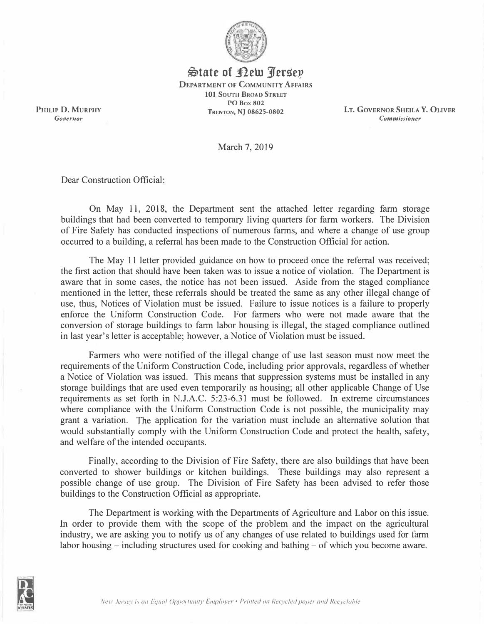

 $\bigoplus$ tate of **Pew** *Persep* **DEPARTMENT OF COMMUNITY AFFAIRS 101 Sourn BROAD STREET PO Box 802 TRENTON, NJ 08625-0802** 

*PHILIP* **D. MURPHY**  *Governor* 

**LT. GOVERNOR SHEILA Y. OLIVER**  *Commissioner* 

March 7, 2019

Dear Construction Official:

On May 11, 2018, the Department sent the attached letter regarding farm storage buildings that had been converted to temporary living quarters for farm workers. The Division of Fire Safety has conducted inspections of numerous farms, and where a change of use group occurred to a building, a referral has been made to the Construction Official for action.

The May 11 letter provided guidance on how to proceed once the referral was received; the first action that should have been taken was to issue a notice of violation. The Department is aware that in some cases, the notice has not been issued. Aside from the staged compliance mentioned in the letter, these referrals should be treated the same as any other illegal change of use, thus, Notices of Violation must be issued. Failure to issue notices is a failure to properly enforce the Uniform Construction Code. For farmers who were not made aware that the conversion of storage buildings to farm labor housing is illegal, the staged compliance outlined in last year's letter is acceptable; however, a Notice of Violation must be issued.

Farmers who were notified of the illegal change of use last season must now meet the requirements of the Uniform Construction Code, including prior approvals, regardless of whether a Notice of Violation was issued. This means that suppression systems must be installed in any storage buildings that are used even temporarily as housing; all other applicable Change of Use requirements as set forth in N.J.A.C. 5:23-6.31 must be followed. In extreme circumstances where compliance with the Uniform Construction Code is not possible, the municipality may grant a variation. The application for the variation must include an alternative solution that would substantially comply with the Uniform Construction Code and protect the health, safety, and welfare of the intended occupants.

Finally, according to the Division of Fire Safety, there are also buildings that have been converted to shower buildings or kitchen buildings. These buildings may also represent a possible change of use group. The Division of Fire Safety has been advised to refer those buildings to the Construction Official as appropriate.

The Department is working with the Departments of Agriculture and Labor on this issue. In order to provide them with the scope of the problem and the impact on the agricultural industry, we are asking you to notify us of any changes of use related to buildings used for farm labor housing  $-$  including structures used for cooking and bathing  $-$  of which you become aware.

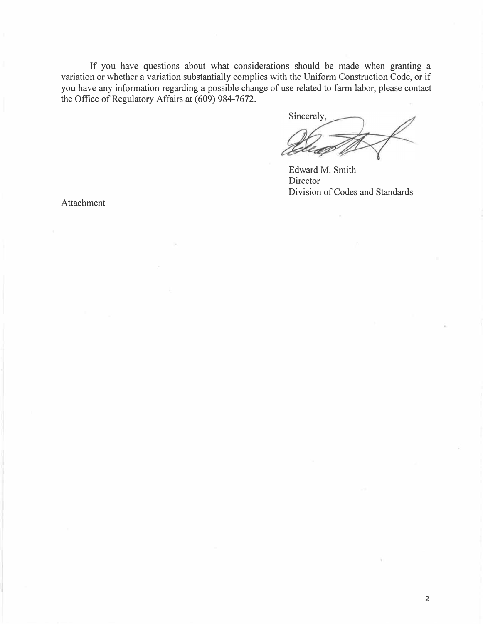If you have questions about what considerations should be made when granting a variation or whether a variation substantially complies with the Uniform Construction Code, or if you have any information regarding a possible change of use related to farm labor, please contact the Office of Regulatory Affairs at  $(609)$  984-7672.

Sincerely,

Edward M. Smith Director Division of Codes and Standards

Attachment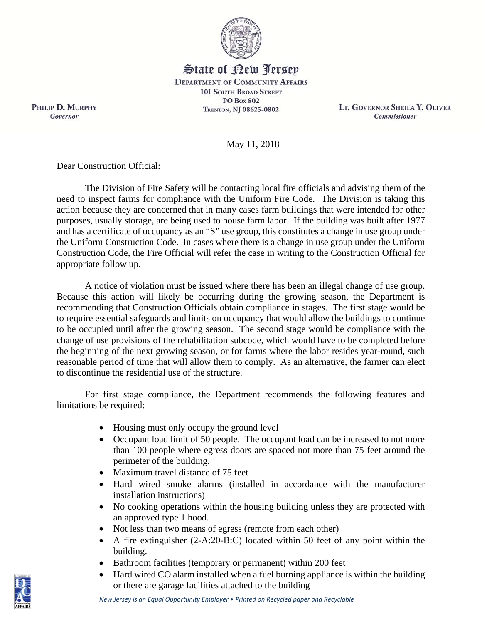

State of Kew Persey **DEPARTMENT OF COMMUNITY AFFAIRS 101 SOUTH BROAD STREET PO Box 802** TRENTON, NJ 08625-0802

LT. GOVERNOR SHEILA Y. OLIVER **Commissioner** 

May 11, 2018

Dear Construction Official:

The Division of Fire Safety will be contacting local fire officials and advising them of the need to inspect farms for compliance with the Uniform Fire Code. The Division is taking this action because they are concerned that in many cases farm buildings that were intended for other purposes, usually storage, are being used to house farm labor. If the building was built after 1977 and has a certificate of occupancy as an "S" use group, this constitutes a change in use group under the Uniform Construction Code. In cases where there is a change in use group under the Uniform Construction Code, the Fire Official will refer the case in writing to the Construction Official for appropriate follow up.

A notice of violation must be issued where there has been an illegal change of use group. Because this action will likely be occurring during the growing season, the Department is recommending that Construction Officials obtain compliance in stages. The first stage would be to require essential safeguards and limits on occupancy that would allow the buildings to continue to be occupied until after the growing season. The second stage would be compliance with the change of use provisions of the rehabilitation subcode, which would have to be completed before the beginning of the next growing season, or for farms where the labor resides year-round, such reasonable period of time that will allow them to comply. As an alternative, the farmer can elect to discontinue the residential use of the structure.

For first stage compliance, the Department recommends the following features and limitations be required:

- Housing must only occupy the ground level
- Occupant load limit of 50 people. The occupant load can be increased to not more than 100 people where egress doors are spaced not more than 75 feet around the perimeter of the building.
- Maximum travel distance of 75 feet
- Hard wired smoke alarms (installed in accordance with the manufacturer installation instructions)
- No cooking operations within the housing building unless they are protected with an approved type 1 hood.
- Not less than two means of egress (remote from each other)
- A fire extinguisher (2-A:20-B:C) located within 50 feet of any point within the building.
- Bathroom facilities (temporary or permanent) within 200 feet

*New Jersey is an Equal Opportunity Employer* • *Printed on Recycled paper and Recyclable*

 Hard wired CO alarm installed when a fuel burning appliance is within the building or there are garage facilities attached to the building

PHILIP D. MURPHY Governor